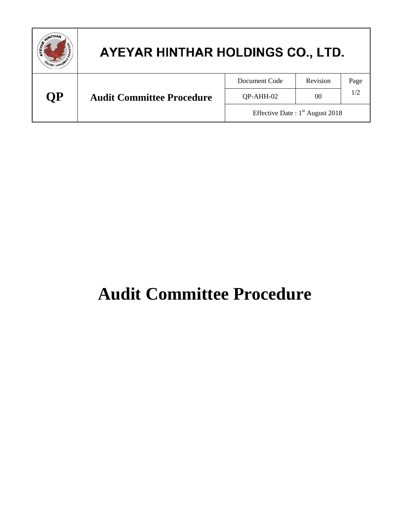| <b>AINTHAP</b> | AYEYAR HINTHAR HOLDINGS CO., LTD. |                                   |          |      |
|----------------|-----------------------------------|-----------------------------------|----------|------|
|                |                                   | Document Code                     | Revision | Page |
| <b>OP</b>      | <b>Audit Committee Procedure</b>  | QP-AHH-02                         | 00       | 1/2  |
|                |                                   | Effective Date: $1st$ August 2018 |          |      |

## **Audit Committee Procedure**